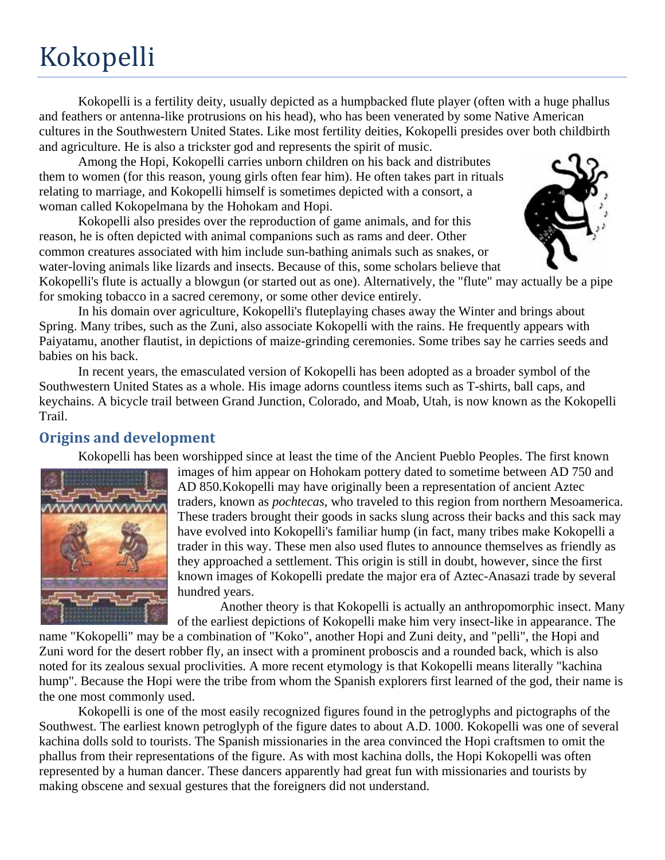## Kokopelli

Kokopelli is a [fertility deity,](http://en.wikipedia.org/wiki/Fertility_deity) usually depicted as a [humpbacked](http://en.wikipedia.org/wiki/Humpback) [flute](http://en.wikipedia.org/wiki/Flute) player (often with a huge [phallus](http://en.wikipedia.org/wiki/Phallus) and [feathers](http://en.wikipedia.org/wiki/Feathers) or [antenna-](http://en.wikipedia.org/wiki/Antenna_%28biology%29)like protrusions on his head), who has been venerated by some [Native American](http://en.wikipedia.org/wiki/Native_American_%28U.S.%29) cultures in the [Southwestern United States.](http://en.wikipedia.org/wiki/Southwestern_United_States) Like most fertility deities, Kokopelli presides over both [childbirth](http://en.wikipedia.org/wiki/Childbirth) and [agriculture.](http://en.wikipedia.org/wiki/Agriculture) He is also a [trickster](http://en.wikipedia.org/wiki/Trickster) god and represents the spirit of [music.](http://en.wikipedia.org/wiki/Music)

Among the [Hopi,](http://en.wikipedia.org/wiki/Hopi_mythology) Kokopelli carries unborn children on his back and distributes them to women (for this reason, young girls often fear him). He often takes part in [rituals](http://en.wikipedia.org/wiki/Ritual) relating to [marriage,](http://en.wikipedia.org/wiki/Marriage) and Kokopelli himself is sometimes depicted with a [consort,](http://en.wiktionary.org/wiki/consort) a woman called Kokopelmana by the [Hohokam](http://en.wikipedia.org/wiki/Hohokam_mythology) and [Hopi.](http://en.wikipedia.org/wiki/Hopi_mythology)

Kokopelli also presides over the reproduction of [game animals,](http://en.wikipedia.org/wiki/Game_animal) and for this reason, he is often depicted with animal companions such as [rams](http://en.wikipedia.org/wiki/Ram_%28animal%29) and [deer.](http://en.wikipedia.org/wiki/Deer) Other common creatures associated with him include sun-bathing animals such as [snakes,](http://en.wikipedia.org/wiki/Snakes) or water-loving animals like [lizards](http://en.wikipedia.org/wiki/Lizard) and [insects.](http://en.wikipedia.org/wiki/Insect) Because of this, some scholars believe that



Kokopelli's flute is actually a [blowgun](http://en.wikipedia.org/wiki/Blowgun) (or started out as one). Alternatively, the "flute" may actually be a [pipe](http://en.wikipedia.org/wiki/Pipe) for smoking [tobacco](http://en.wikipedia.org/wiki/Tobacco) in a sacred ceremony, or some other device entirely.

In his domain over agriculture, Kokopelli's fluteplaying chases away the Winter and brings about Spring. Many tribes, such as the [Zuni,](http://en.wikipedia.org/wiki/Zuni_mythology) also associate Kokopelli with the [rains.](http://en.wikipedia.org/wiki/Rain) He frequently appears with [Paiyatamu,](http://en.wikipedia.org/w/index.php?title=Paiyatamu&action=edit&redlink=1) another flautist, in depictions of [maize-](http://en.wikipedia.org/wiki/Maize)grinding ceremonies. Some tribes say he carries seeds and babies on his back.

In recent years, the emasculated version of Kokopelli has been adopted as a broader symbol of the Southwestern United States as a whole. His image adorns countless items such as T-shirts, ball caps, and keychains. A [bicycle](http://en.wikipedia.org/wiki/Bicycle) trail between [Grand Junction, Colorado,](http://en.wikipedia.org/wiki/Grand_Junction,_Colorado) and [Moab, Utah,](http://en.wikipedia.org/wiki/Moab,_Utah) is now known as the [Kokopelli](http://en.wikipedia.org/wiki/Kokopelli_Trail)  [Trail.](http://en.wikipedia.org/wiki/Kokopelli_Trail)

## **Origins and development**

Kokopelli has been worshipped since at least the time of the [Ancient Pueblo Peoples.](http://en.wikipedia.org/wiki/Ancient_Pueblo_Peoples) The first known



images of him appear on [Hohokam](http://en.wikipedia.org/wiki/Hohokam) [pottery](http://en.wikipedia.org/wiki/Pottery) dated to sometime between AD 750 and AD 850.Kokopelli may have originally been a representation of ancient [Aztec](http://en.wikipedia.org/wiki/Aztec) traders, known as *[pochtecas](http://en.wikipedia.org/wiki/Pochteca)*, who traveled to this region from northern [Mesoamerica.](http://en.wikipedia.org/wiki/Mesoamerica) These traders brought their goods in sacks slung across their backs and this sack may have evolved into Kokopelli's familiar hump (in fact, many tribes make Kokopelli a trader in this way. These men also used flutes to announce themselves as friendly as they approached a settlement. This origin is still in doubt, however, since the first known images of Kokopelli predate the major era of Aztec[-Anasazi](http://en.wikipedia.org/wiki/Anasazi) trade by several hundred years.

Another theory is that Kokopelli is actually an [anthropomorphic](http://en.wikipedia.org/wiki/Anthropomorphism) insect. Many of the earliest depictions of Kokopelli make him very insect-like in appearance. The

name "Kokopelli" may be a combination of "Koko", another Hopi and Zuni deity, and "pelli", the Hopi and Zuni word for the [desert robber fly,](http://en.wikipedia.org/wiki/Asilidae) an insect with a prominent [proboscis](http://en.wikipedia.org/wiki/Proboscis) and a rounded back, which is also noted for its zealous sexual proclivities. A more recent [etymology](http://en.wikipedia.org/wiki/Etymology) is that Kokopelli means literally "kachina hump". Because the Hopi were the tribe from whom the Spanish explorers first learned of the god, their name is the one most commonly used.

Kokopelli is one of the most easily recognized figures found in the [petroglyphs](http://en.wikipedia.org/wiki/Petroglyph) and [pictographs](http://en.wikipedia.org/wiki/Pictograph) of the Southwest. The earliest known petroglyph of the figure dates to about A.D. 1000. Kokopelli was one of several [kachina](http://en.wikipedia.org/wiki/Kachina) dolls sold to tourists. The Spanish [missionaries](http://en.wikipedia.org/wiki/Missionary) in the area convinced the Hopi craftsmen to omit the phallus from their representations of the figure. As with most kachina dolls, the Hopi Kokopelli was often represented by a human dancer. These dancers apparently had great fun with missionaries and tourists by making obscene and sexual gestures that the foreigners did not understand.